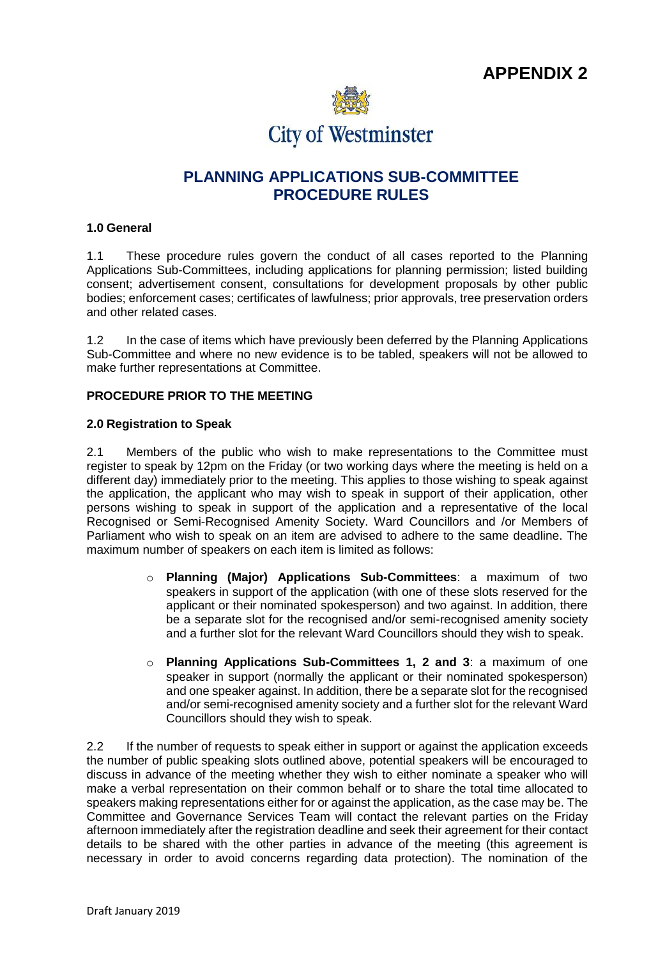

# **PLANNING APPLICATIONS SUB-COMMITTEE PROCEDURE RULES**

## **1.0 General**

1.1 These procedure rules govern the conduct of all cases reported to the Planning Applications Sub-Committees, including applications for planning permission; listed building consent; advertisement consent, consultations for development proposals by other public bodies; enforcement cases; certificates of lawfulness; prior approvals, tree preservation orders and other related cases.

1.2 In the case of items which have previously been deferred by the Planning Applications Sub-Committee and where no new evidence is to be tabled, speakers will not be allowed to make further representations at Committee.

#### **PROCEDURE PRIOR TO THE MEETING**

#### **2.0 Registration to Speak**

2.1 Members of the public who wish to make representations to the Committee must register to speak by 12pm on the Friday (or two working days where the meeting is held on a different day) immediately prior to the meeting. This applies to those wishing to speak against the application, the applicant who may wish to speak in support of their application, other persons wishing to speak in support of the application and a representative of the local Recognised or Semi-Recognised Amenity Society. Ward Councillors and /or Members of Parliament who wish to speak on an item are advised to adhere to the same deadline. The maximum number of speakers on each item is limited as follows:

- o **Planning (Major) Applications Sub-Committees**: a maximum of two speakers in support of the application (with one of these slots reserved for the applicant or their nominated spokesperson) and two against. In addition, there be a separate slot for the recognised and/or semi-recognised amenity society and a further slot for the relevant Ward Councillors should they wish to speak.
- o **Planning Applications Sub-Committees 1, 2 and 3**: a maximum of one speaker in support (normally the applicant or their nominated spokesperson) and one speaker against. In addition, there be a separate slot for the recognised and/or semi-recognised amenity society and a further slot for the relevant Ward Councillors should they wish to speak.

2.2 If the number of requests to speak either in support or against the application exceeds the number of public speaking slots outlined above, potential speakers will be encouraged to discuss in advance of the meeting whether they wish to either nominate a speaker who will make a verbal representation on their common behalf or to share the total time allocated to speakers making representations either for or against the application, as the case may be. The Committee and Governance Services Team will contact the relevant parties on the Friday afternoon immediately after the registration deadline and seek their agreement for their contact details to be shared with the other parties in advance of the meeting (this agreement is necessary in order to avoid concerns regarding data protection). The nomination of the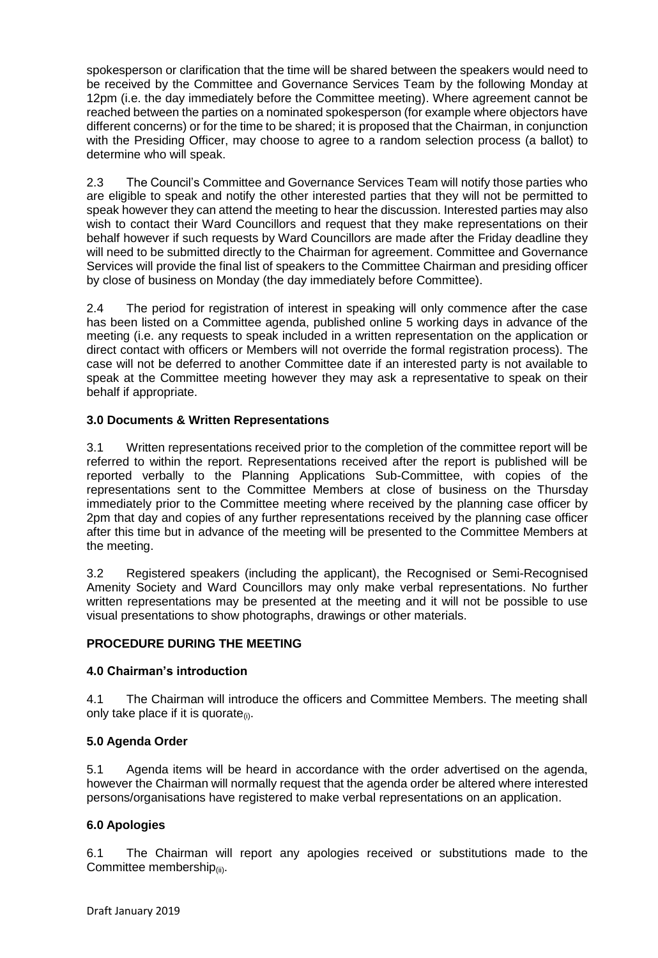spokesperson or clarification that the time will be shared between the speakers would need to be received by the Committee and Governance Services Team by the following Monday at 12pm (i.e. the day immediately before the Committee meeting). Where agreement cannot be reached between the parties on a nominated spokesperson (for example where objectors have different concerns) or for the time to be shared; it is proposed that the Chairman, in conjunction with the Presiding Officer, may choose to agree to a random selection process (a ballot) to determine who will speak.

2.3 The Council's Committee and Governance Services Team will notify those parties who are eligible to speak and notify the other interested parties that they will not be permitted to speak however they can attend the meeting to hear the discussion. Interested parties may also wish to contact their Ward Councillors and request that they make representations on their behalf however if such requests by Ward Councillors are made after the Friday deadline they will need to be submitted directly to the Chairman for agreement. Committee and Governance Services will provide the final list of speakers to the Committee Chairman and presiding officer by close of business on Monday (the day immediately before Committee).

2.4 The period for registration of interest in speaking will only commence after the case has been listed on a Committee agenda, published online 5 working days in advance of the meeting (i.e. any requests to speak included in a written representation on the application or direct contact with officers or Members will not override the formal registration process). The case will not be deferred to another Committee date if an interested party is not available to speak at the Committee meeting however they may ask a representative to speak on their behalf if appropriate.

# **3.0 Documents & Written Representations**

3.1 Written representations received prior to the completion of the committee report will be referred to within the report. Representations received after the report is published will be reported verbally to the Planning Applications Sub-Committee, with copies of the representations sent to the Committee Members at close of business on the Thursday immediately prior to the Committee meeting where received by the planning case officer by 2pm that day and copies of any further representations received by the planning case officer after this time but in advance of the meeting will be presented to the Committee Members at the meeting.

3.2 Registered speakers (including the applicant), the Recognised or Semi-Recognised Amenity Society and Ward Councillors may only make verbal representations. No further written representations may be presented at the meeting and it will not be possible to use visual presentations to show photographs, drawings or other materials.

# **PROCEDURE DURING THE MEETING**

# **4.0 Chairman's introduction**

4.1 The Chairman will introduce the officers and Committee Members. The meeting shall only take place if it is quorate $(i)$ .

# **5.0 Agenda Order**

5.1 Agenda items will be heard in accordance with the order advertised on the agenda, however the Chairman will normally request that the agenda order be altered where interested persons/organisations have registered to make verbal representations on an application.

# **6.0 Apologies**

6.1 The Chairman will report any apologies received or substitutions made to the Committee membership $_{(ii)}$ .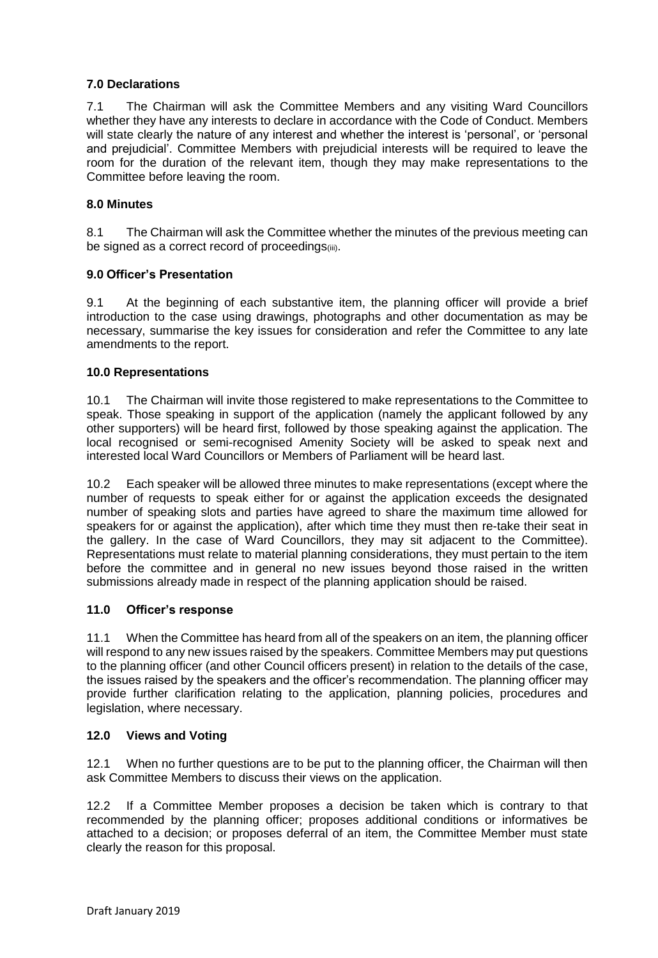# **7.0 Declarations**

7.1 The Chairman will ask the Committee Members and any visiting Ward Councillors whether they have any interests to declare in accordance with the Code of Conduct. Members will state clearly the nature of any interest and whether the interest is 'personal', or 'personal and prejudicial'. Committee Members with prejudicial interests will be required to leave the room for the duration of the relevant item, though they may make representations to the Committee before leaving the room.

## **8.0 Minutes**

8.1 The Chairman will ask the Committee whether the minutes of the previous meeting can be signed as a correct record of proceedings(iii).

#### **9.0 Officer's Presentation**

9.1 At the beginning of each substantive item, the planning officer will provide a brief introduction to the case using drawings, photographs and other documentation as may be necessary, summarise the key issues for consideration and refer the Committee to any late amendments to the report.

#### **10.0 Representations**

10.1 The Chairman will invite those registered to make representations to the Committee to speak. Those speaking in support of the application (namely the applicant followed by any other supporters) will be heard first, followed by those speaking against the application. The local recognised or semi-recognised Amenity Society will be asked to speak next and interested local Ward Councillors or Members of Parliament will be heard last.

10.2 Each speaker will be allowed three minutes to make representations (except where the number of requests to speak either for or against the application exceeds the designated number of speaking slots and parties have agreed to share the maximum time allowed for speakers for or against the application), after which time they must then re-take their seat in the gallery. In the case of Ward Councillors, they may sit adjacent to the Committee). Representations must relate to material planning considerations, they must pertain to the item before the committee and in general no new issues beyond those raised in the written submissions already made in respect of the planning application should be raised.

# **11.0 Officer's response**

11.1 When the Committee has heard from all of the speakers on an item, the planning officer will respond to any new issues raised by the speakers. Committee Members may put questions to the planning officer (and other Council officers present) in relation to the details of the case, the issues raised by the speakers and the officer's recommendation. The planning officer may provide further clarification relating to the application, planning policies, procedures and legislation, where necessary.

#### **12.0 Views and Voting**

12.1 When no further questions are to be put to the planning officer, the Chairman will then ask Committee Members to discuss their views on the application.

12.2 If a Committee Member proposes a decision be taken which is contrary to that recommended by the planning officer; proposes additional conditions or informatives be attached to a decision; or proposes deferral of an item, the Committee Member must state clearly the reason for this proposal.